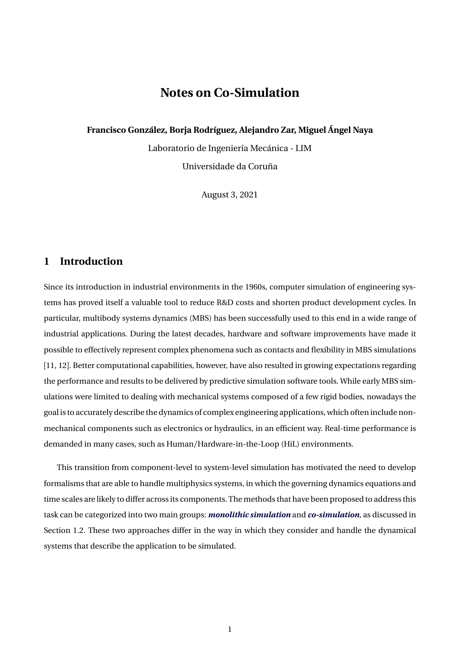# **Notes on Co-Simulation**

**Francisco González, Borja Rodríguez, Alejandro Zar, Miguel Ángel Naya**

Laboratorio de Ingeniería Mecánica - LIM Universidade da Coruña

August 3, 2021

# **1 Introduction**

Since its introduction in industrial environments in the 1960s, computer simulation of engineering systems has proved itself a valuable tool to reduce R&D costs and shorten product development cycles. In particular, multibody systems dynamics (MBS) has been successfully used to this end in a wide range of industrial applications. During the latest decades, hardware and software improvements have made it possible to effectively represent complex phenomena such as contacts and flexibility in MBS simulations [11, 12]. Better computational capabilities, however, have also resulted in growing expectations regarding the performance and results to be delivered by predictive simulation software tools. While early MBS simulations were limited to dealing with mechanical systems composed of a few rigid bodies, nowadays the goal is to accurately describe the dynamics of complex engineering applications, which often include nonmechanical components such as electronics or hydraulics, in an efficient way. Real-time performance is demanded in many cases, such as Human/Hardware-in-the-Loop (HiL) environments.

This transition from component-level to system-level simulation has motivated the need to develop formalisms that are able to handle multiphysics systems, in which the governing dynamics equations and time scales are likely to differ across its components. The methods that have been proposed to address this task can be categorized into two main groups: *monolithic simulation* and *co-simulation*, as discussed in Section 1.2. These two approaches differ in the way in which they consider and handle the dynamical systems that describe the application to be simulated.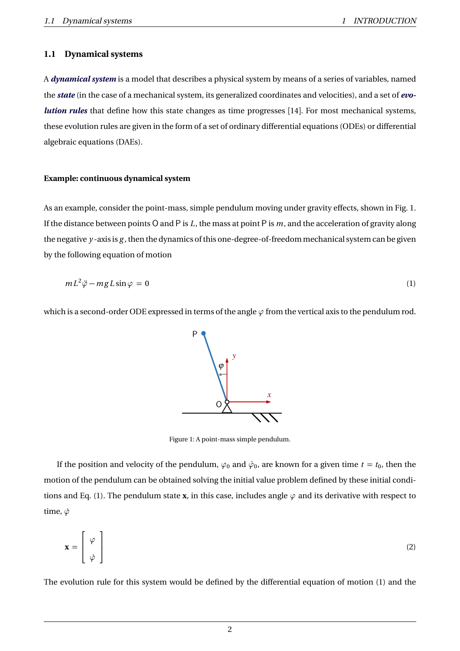### **1.1 Dynamical systems**

A *dynamical system* is a model that describes a physical system by means of a series of variables, named the *state* (in the case of a mechanical system, its generalized coordinates and velocities), and a set of *evolution rules* that define how this state changes as time progresses [14]. For most mechanical systems, these evolution rules are given in the form of a set of ordinary differential equations (ODEs) or differential algebraic equations (DAEs).

#### **Example: continuous dynamical system**

As an example, consider the point-mass, simple pendulum moving under gravity effects, shown in Fig. 1. If the distance between points O and P is *L*, the mass at point P is *m*, and the acceleration of gravity along the negative *y* -axis is *g* , then the dynamics of this one-degree-of-freedom mechanical system can be given by the following equation of motion

$$
mL^2\ddot{\varphi} - mgL\sin\varphi = 0\tag{1}
$$

which is a second-order ODE expressed in terms of the angle  $\varphi$  from the vertical axis to the pendulum rod.

Figure 1: A point-mass simple pendulum.

If the position and velocity of the pendulum,  $\varphi_0$  and  $\dot{\varphi}_0$ , are known for a given time  $t=t_0$ , then the motion of the pendulum can be obtained solving the initial value problem defined by these initial conditions and Eq. (1). The pendulum state **x**, in this case, includes angle  $\varphi$  and its derivative with respect to time,  $\dot{\varphi}$ 

$$
\mathbf{x} = \begin{bmatrix} \varphi \\ \dot{\varphi} \end{bmatrix} \tag{2}
$$

The evolution rule for this system would be defined by the differential equation of motion (1) and the

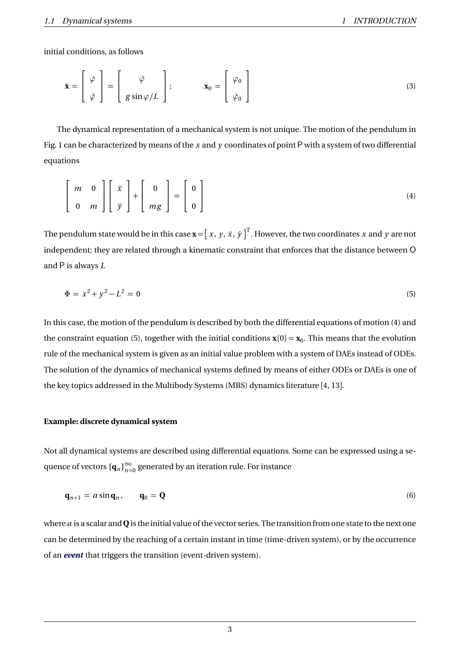initial conditions, as follows

$$
\dot{\mathbf{x}} = \begin{bmatrix} \dot{\varphi} \\ \ddot{\varphi} \end{bmatrix} = \begin{bmatrix} \dot{\varphi} \\ g \sin \varphi / L \end{bmatrix}; \qquad \mathbf{x}_0 = \begin{bmatrix} \varphi_0 \\ \dot{\varphi}_0 \end{bmatrix}
$$
 (3)

The dynamical representation of a mechanical system is not unique. The motion of the pendulum in Fig. 1 can be characterized by means of the x and y coordinates of point P with a system of two differential equations

$$
\left[\begin{array}{cc} m & 0 \\ 0 & m \end{array}\right] \left[\begin{array}{c} \ddot{x} \\ \ddot{y} \end{array}\right] + \left[\begin{array}{c} 0 \\ mg \end{array}\right] = \left[\begin{array}{c} 0 \\ 0 \end{array}\right]
$$
 (4)

The pendulum state would be in this case  $\mathbf{x} = [\ x, \ y, \ \dot{x}, \ \dot{y} \ ]^\text{T}$  . However, the two coordinates  $x$  and  $y$  are not independent; they are related through a kinematic constraint that enforces that the distance between O and P is always *L*

$$
\Phi = x^2 + y^2 - L^2 = 0 \tag{5}
$$

In this case, the motion of the pendulum is described by both the differential equations of motion (4) and the constraint equation (5), together with the initial conditions  $\mathbf{x}(0) = \mathbf{x}_0$ . This means that the evolution rule of the mechanical system is given as an initial value problem with a system of DAEs instead of ODEs. The solution of the dynamics of mechanical systems defined by means of either ODEs or DAEs is one of the key topics addressed in the Multibody Systems (MBS) dynamics literature [4, 13].

#### **Example: discrete dynamical system**

Not all dynamical systems are described using differential equations. Some can be expressed using a sequence of vectors  $\{\mathbf q_n\}_{n=0}^\infty$  generated by an iteration rule. For instance

$$
\mathbf{q}_{n+1} = a \sin \mathbf{q}_n, \qquad \mathbf{q}_0 = \mathbf{Q} \tag{6}
$$

where *a* is a scalar and **Q** is the initial value of the vector series. The transition from one state to the next one can be determined by the reaching of a certain instant in time (time-driven system), or by the occurrence of an *event* that triggers the transition (event-driven system).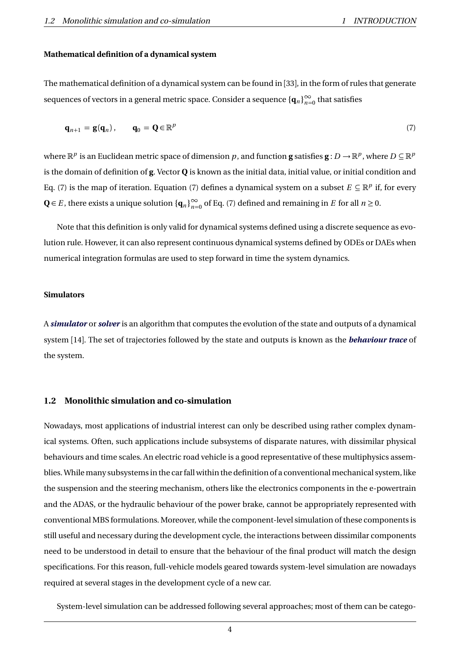#### **Mathematical definition of a dynamical system**

The mathematical definition of a dynamical system can be found in [33], in the form of rules that generate  $\mathbf{s}$ equences of vectors in a general metric space. Consider a  $\mathbf{s}$ equence  $\{\mathbf{q}_n\}_{n=0}^\infty$  that satisfies

$$
\mathbf{q}_{n+1} = \mathbf{g}(\mathbf{q}_n), \qquad \mathbf{q}_0 = \mathbf{Q} \in \mathbb{R}^p \tag{7}
$$

where  $\mathbb{R}^p$  is an Euclidean metric space of dimension  $p$ , and function **g** satisfies  $\mathbf{g}: D \to \mathbb{R}^p$ , where  $D \subseteq \mathbb{R}^p$ is the domain of definition of **g**. Vector **Q** is known as the initial data, initial value, or initial condition and Eq. (7) is the map of iteration. Equation (7) defines a dynamical system on a subset  $E \subseteq \mathbb{R}^p$  if, for every  $Q ∈ E$ , there exists a unique solution  ${q_n}_{n=0}^{\infty}$  of Eq. (7) defined and remaining in *E* for all  $n ≥ 0$ .

Note that this definition is only valid for dynamical systems defined using a discrete sequence as evolution rule. However, it can also represent continuous dynamical systems defined by ODEs or DAEs when numerical integration formulas are used to step forward in time the system dynamics.

#### **Simulators**

A *simulator* or *solver* is an algorithm that computes the evolution of the state and outputs of a dynamical system [14]. The set of trajectories followed by the state and outputs is known as the *behaviour trace* of the system.

### **1.2 Monolithic simulation and co-simulation**

Nowadays, most applications of industrial interest can only be described using rather complex dynamical systems. Often, such applications include subsystems of disparate natures, with dissimilar physical behaviours and time scales. An electric road vehicle is a good representative of these multiphysics assemblies. While many subsystems in the car fall within the definition of a conventional mechanical system, like the suspension and the steering mechanism, others like the electronics components in the e-powertrain and the ADAS, or the hydraulic behaviour of the power brake, cannot be appropriately represented with conventional MBS formulations. Moreover, while the component-level simulation of these components is still useful and necessary during the development cycle, the interactions between dissimilar components need to be understood in detail to ensure that the behaviour of the final product will match the design specifications. For this reason, full-vehicle models geared towards system-level simulation are nowadays required at several stages in the development cycle of a new car.

System-level simulation can be addressed following several approaches; most of them can be catego-

4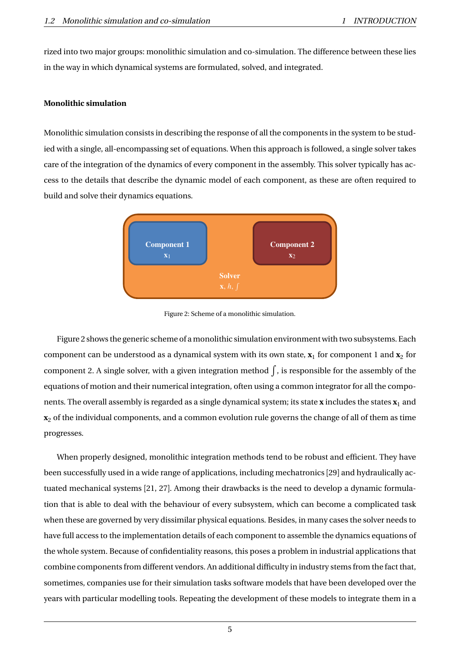rized into two major groups: monolithic simulation and co-simulation. The difference between these lies in the way in which dynamical systems are formulated, solved, and integrated.

### **Monolithic simulation**

Monolithic simulation consists in describing the response of all the components in the system to be studied with a single, all-encompassing set of equations. When this approach is followed, a single solver takes care of the integration of the dynamics of every component in the assembly. This solver typically has access to the details that describe the dynamic model of each component, as these are often required to build and solve their dynamics equations.



Figure 2: Scheme of a monolithic simulation.

Figure 2 shows the generic scheme of a monolithic simulation environment with two subsystems. Each component can be understood as a dynamical system with its own state,  $\mathbf{x}_1$  for component 1 and  $\mathbf{x}_2$  for component 2. A single solver, with a given integration method  $\int$ , is responsible for the assembly of the equations of motion and their numerical integration, often using a common integrator for all the components. The overall assembly is regarded as a single dynamical system; its state **x** includes the states **x**<sup>1</sup> and **x**<sup>2</sup> of the individual components, and a common evolution rule governs the change of all of them as time progresses.

When properly designed, monolithic integration methods tend to be robust and efficient. They have been successfully used in a wide range of applications, including mechatronics [29] and hydraulically actuated mechanical systems [21, 27]. Among their drawbacks is the need to develop a dynamic formulation that is able to deal with the behaviour of every subsystem, which can become a complicated task when these are governed by very dissimilar physical equations. Besides, in many cases the solver needs to have full access to the implementation details of each component to assemble the dynamics equations of the whole system. Because of confidentiality reasons, this poses a problem in industrial applications that combine components from different vendors. An additional difficulty in industry stems from the fact that, sometimes, companies use for their simulation tasks software models that have been developed over the years with particular modelling tools. Repeating the development of these models to integrate them in a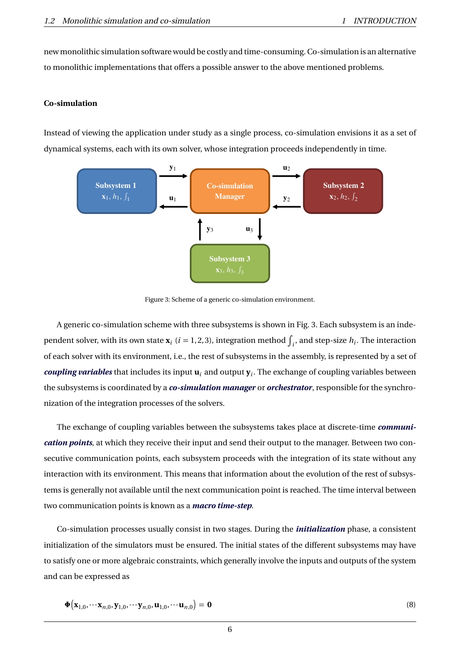new monolithic simulation software would be costly and time-consuming. Co-simulation is an alternative to monolithic implementations that offers a possible answer to the above mentioned problems.

### **Co-simulation**

Instead of viewing the application under study as a single process, co-simulation envisions it as a set of dynamical systems, each with its own solver, whose integration proceeds independently in time.



Figure 3: Scheme of a generic co-simulation environment.

A generic co-simulation scheme with three subsystems is shown in Fig. 3. Each subsystem is an independent solver, with its own state  $\mathbf{x}_i$  ( $i = 1, 2, 3$ ), integration method  $\int_i$ , and step-size  $h_i$ . The interaction of each solver with its environment, i.e., the rest of subsystems in the assembly, is represented by a set of *coupling variables* that includes its input **u***<sup>i</sup>* and output **y***<sup>i</sup>* . The exchange of coupling variables between the subsystems is coordinated by a *co-simulation manager* or *orchestrator*, responsible for the synchronization of the integration processes of the solvers.

The exchange of coupling variables between the subsystems takes place at discrete-time *communication points*, at which they receive their input and send their output to the manager. Between two consecutive communication points, each subsystem proceeds with the integration of its state without any interaction with its environment. This means that information about the evolution of the rest of subsystems is generally not available until the next communication point is reached. The time interval between two communication points is known as a *macro time-step*.

Co-simulation processes usually consist in two stages. During the *initialization* phase, a consistent initialization of the simulators must be ensured. The initial states of the different subsystems may have to satisfy one or more algebraic constraints, which generally involve the inputs and outputs of the system and can be expressed as

$$
\mathbf{\Phi}\big(\mathbf{x}_{1,0},\cdots\mathbf{x}_{n,0},\mathbf{y}_{1,0},\cdots\mathbf{y}_{n,0},\mathbf{u}_{1,0},\cdots\mathbf{u}_{n,0}\big)=\mathbf{0}
$$
\n(8)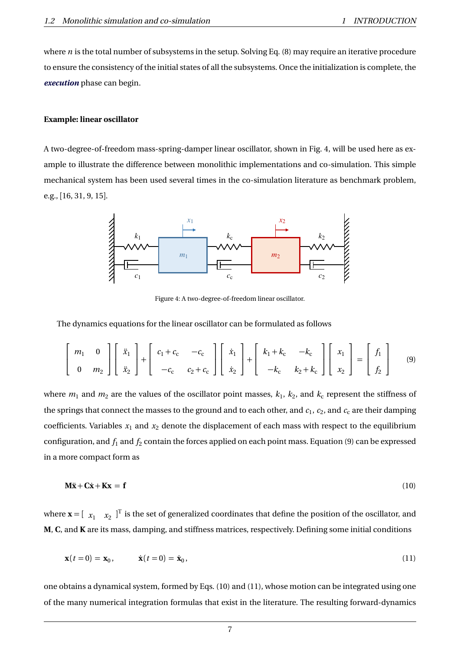where *n* is the total number of subsystems in the setup. Solving Eq. (8) may require an iterative procedure to ensure the consistency of the initial states of all the subsystems. Once the initialization is complete, the *execution* phase can begin.

### **Example: linear oscillator**

A two-degree-of-freedom mass-spring-damper linear oscillator, shown in Fig. 4, will be used here as example to illustrate the difference between monolithic implementations and co-simulation. This simple mechanical system has been used several times in the co-simulation literature as benchmark problem, e.g., [16, 31, 9, 15].



Figure 4: A two-degree-of-freedom linear oscillator.

The dynamics equations for the linear oscillator can be formulated as follows

$$
\begin{bmatrix} m_1 & 0 \\ 0 & m_2 \end{bmatrix} \begin{bmatrix} \ddot{x}_1 \\ \ddot{x}_2 \end{bmatrix} + \begin{bmatrix} c_1 + c_c & -c_c \\ -c_c & c_2 + c_c \end{bmatrix} \begin{bmatrix} \dot{x}_1 \\ \dot{x}_2 \end{bmatrix} + \begin{bmatrix} k_1 + k_c & -k_c \\ -k_c & k_2 + k_c \end{bmatrix} \begin{bmatrix} x_1 \\ x_2 \end{bmatrix} = \begin{bmatrix} f_1 \\ f_2 \end{bmatrix}
$$
(9)

where  $m_1$  and  $m_2$  are the values of the oscillator point masses,  $k_1,\,k_2,$  and  $k_{\rm c}$  represent the stiffness of the springs that connect the masses to the ground and to each other, and  $c_1$ ,  $c_2$ , and  $c_{\rm c}$  are their damping coefficients. Variables  $x_1$  and  $x_2$  denote the displacement of each mass with respect to the equilibrium configuration, and  $f_1$  and  $f_2$  contain the forces applied on each point mass. Equation (9) can be expressed in a more compact form as

$$
\mathbf{M}\ddot{\mathbf{x}} + \mathbf{C}\dot{\mathbf{x}} + \mathbf{K}\mathbf{x} = \mathbf{f} \tag{10}
$$

where  $\mathbf{x} = [\begin{array}{cc} x_1 & x_2 \end{array}]^T$  is the set of generalized coordinates that define the position of the oscillator, and **M**, **C**, and **K** are its mass, damping, and stiffness matrices, respectively. Defining some initial conditions

$$
\mathbf{x}(t=0) = \mathbf{x}_0, \qquad \dot{\mathbf{x}}(t=0) = \dot{\mathbf{x}}_0,
$$
 (11)

one obtains a dynamical system, formed by Eqs. (10) and (11), whose motion can be integrated using one of the many numerical integration formulas that exist in the literature. The resulting forward-dynamics

7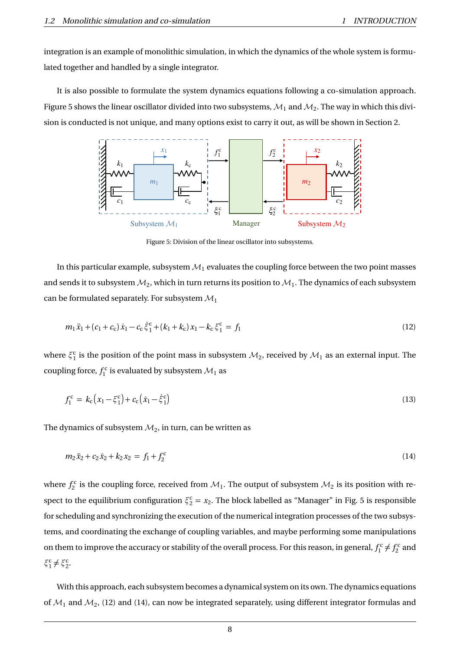integration is an example of monolithic simulation, in which the dynamics of the whole system is formulated together and handled by a single integrator.

It is also possible to formulate the system dynamics equations following a co-simulation approach. Figure 5 shows the linear oscillator divided into two subsystems,  $\mathcal{M}_1$  and  $\mathcal{M}_2.$  The way in which this division is conducted is not unique, and many options exist to carry it out, as will be shown in Section 2.



Figure 5: Division of the linear oscillator into subsystems.

In this particular example, subsystem  $\mathcal{M}_1$  evaluates the coupling force between the two point masses and sends it to subsystem  $\mathcal{M}_2$ , which in turn returns its position to  $\mathcal{M}_1.$  The dynamics of each subsystem can be formulated separately. For subsystem  $\mathcal{M}_1$ 

$$
m_1\ddot{x}_1 + (c_1 + c_c)\dot{x}_1 - c_c\dot{\xi}_1^c + (k_1 + k_c)x_1 - k_c\xi_1^c = f_1
$$
\n(12)

where  $\xi_1^c$  is the position of the point mass in subsystem  $\mathcal{M}_2$ , received by  $\mathcal{M}_1$  as an external input. The coupling force,  $f_1^{\rm c}$  is evaluated by subsystem  $\mathcal{M}_1$  as

$$
f_1^c = k_c (x_1 - \xi_1^c) + c_c (\dot{x}_1 - \dot{\xi}_1^c) \tag{13}
$$

The dynamics of subsystem  $\mathcal{M}_2$ , in turn, can be written as

$$
m_2\ddot{x}_2 + c_2\dot{x}_2 + k_2x_2 = f_1 + f_2^c \tag{14}
$$

where  $f_2^c$  is the coupling force, received from  $\mathcal{M}_1$ . The output of subsystem  $\mathcal{M}_2$  is its position with respect to the equilibrium configuration  $\xi_2^c = x_2$ . The block labelled as "Manager" in Fig. 5 is responsible for scheduling and synchronizing the execution of the numerical integration processes of the two subsystems, and coordinating the exchange of coupling variables, and maybe performing some manipulations on them to improve the accuracy or stability of the overall process. For this reason, in general,  $f_1^c \neq f_2^c$  and  $\xi_1^c \neq \xi_2^c$ .

With this approach, each subsystem becomes a dynamical system on its own. The dynamics equations of  $\mathcal{M}_1$  and  $\mathcal{M}_2$ , (12) and (14), can now be integrated separately, using different integrator formulas and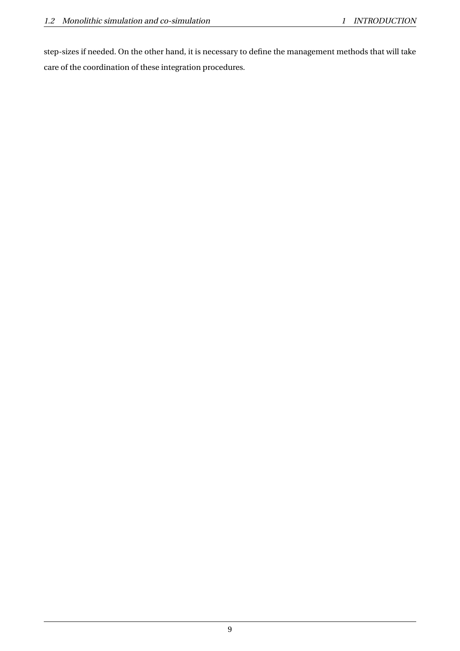step-sizes if needed. On the other hand, it is necessary to define the management methods that will take care of the coordination of these integration procedures.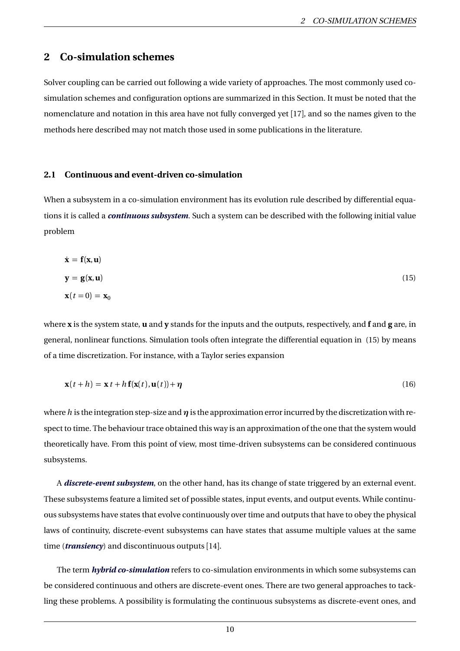# **2 Co-simulation schemes**

Solver coupling can be carried out following a wide variety of approaches. The most commonly used cosimulation schemes and configuration options are summarized in this Section. It must be noted that the nomenclature and notation in this area have not fully converged yet [17], and so the names given to the methods here described may not match those used in some publications in the literature.

### **2.1 Continuous and event-driven co-simulation**

When a subsystem in a co-simulation environment has its evolution rule described by differential equations it is called a *continuous subsystem*. Such a system can be described with the following initial value problem

$$
\dot{\mathbf{x}} = \mathbf{f}(\mathbf{x}, \mathbf{u})
$$
  
\n
$$
\mathbf{y} = \mathbf{g}(\mathbf{x}, \mathbf{u})
$$
  
\n
$$
\mathbf{x}(t = 0) = \mathbf{x}_0
$$
 (15)

where **x** is the system state, **u** and **y** stands for the inputs and the outputs, respectively, and **f** and **g** are, in general, nonlinear functions. Simulation tools often integrate the differential equation in (15) by means of a time discretization. For instance, with a Taylor series expansion

$$
\mathbf{x}(t+h) = \mathbf{x} t + h \mathbf{f}(\mathbf{x}(t), \mathbf{u}(t)) + \eta
$$
 (16)

where *h* is the integration step-size and *η* is the approximation error incurred by the discretization with respect to time. The behaviour trace obtained this way is an approximation of the one that the system would theoretically have. From this point of view, most time-driven subsystems can be considered continuous subsystems.

A *discrete-event subsystem*, on the other hand, has its change of state triggered by an external event. These subsystems feature a limited set of possible states, input events, and output events. While continuous subsystems have states that evolve continuously over time and outputs that have to obey the physical laws of continuity, discrete-event subsystems can have states that assume multiple values at the same time (*transiency*) and discontinuous outputs [14].

The term *hybrid co-simulation* refers to co-simulation environments in which some subsystems can be considered continuous and others are discrete-event ones. There are two general approaches to tackling these problems. A possibility is formulating the continuous subsystems as discrete-event ones, and

10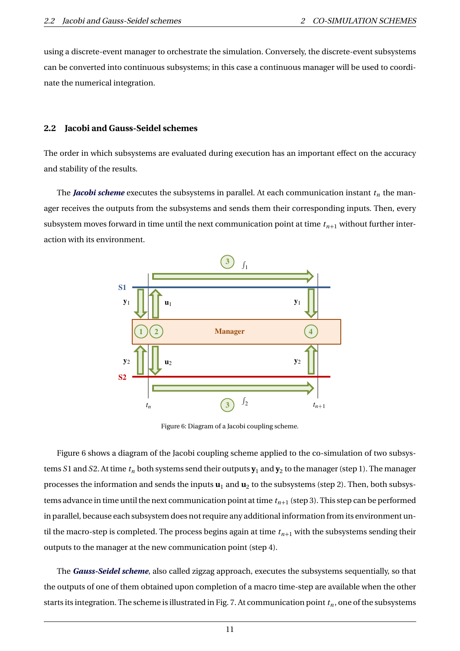using a discrete-event manager to orchestrate the simulation. Conversely, the discrete-event subsystems can be converted into continuous subsystems; in this case a continuous manager will be used to coordinate the numerical integration.

#### **2.2 Jacobi and Gauss-Seidel schemes**

The order in which subsystems are evaluated during execution has an important effect on the accuracy and stability of the results.

The *Jacobi scheme* executes the subsystems in parallel. At each communication instant  $t_n$  the manager receives the outputs from the subsystems and sends them their corresponding inputs. Then, every subsystem moves forward in time until the next communication point at time  $t_{n+1}$  without further interaction with its environment.



Figure 6: Diagram of a Jacobi coupling scheme.

Figure 6 shows a diagram of the Jacobi coupling scheme applied to the co-simulation of two subsystems *S*1 and *S*2. At time *t<sup>n</sup>* both systems send their outputs **y**<sup>1</sup> and **y**<sup>2</sup> to the manager (step 1). The manager processes the information and sends the inputs  $\mathbf{u}_1$  and  $\mathbf{u}_2$  to the subsystems (step 2). Then, both subsystems advance in time until the next communication point at time  $t_{n+1}$  (step 3). This step can be performed in parallel, because each subsystem does not require any additional information from its environment until the macro-step is completed. The process begins again at time  $t_{n+1}$  with the subsystems sending their outputs to the manager at the new communication point (step 4).

The *Gauss-Seidel scheme*, also called zigzag approach, executes the subsystems sequentially, so that the outputs of one of them obtained upon completion of a macro time-step are available when the other starts its integration. The scheme is illustrated in Fig. 7. At communication point  $t_n$ , one of the subsystems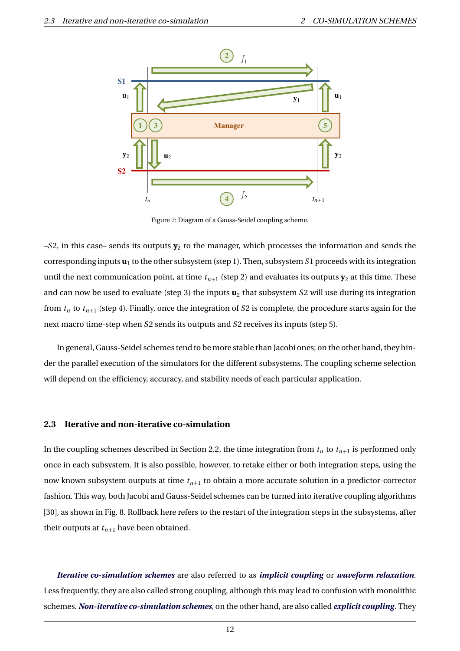

Figure 7: Diagram of a Gauss-Seidel coupling scheme.

–S2, in this case– sends its outputs  $\mathbf{y}_2$  to the manager, which processes the information and sends the corresponding inputs  $\mathbf{u}_1$  to the other subsystem (step 1). Then, subsystem  $S1$  proceeds with its integration until the next communication point, at time  $t_{n+1}$  (step 2) and evaluates its outputs  $\mathbf{y}_2$  at this time. These and can now be used to evaluate (step 3) the inputs  $\mathbf{u}_2$  that subsystem *S*2 will use during its integration from *t<sup>n</sup>* to *tn*+<sup>1</sup> (step 4). Finally, once the integration of *S*2 is complete, the procedure starts again for the next macro time-step when *S*2 sends its outputs and *S*2 receives its inputs (step 5).

In general, Gauss-Seidel schemes tend to be more stable than Jacobi ones; on the other hand, they hinder the parallel execution of the simulators for the different subsystems. The coupling scheme selection will depend on the efficiency, accuracy, and stability needs of each particular application.

#### **2.3 Iterative and non-iterative co-simulation**

In the coupling schemes described in Section 2.2, the time integration from  $t_n$  to  $t_{n+1}$  is performed only once in each subsystem. It is also possible, however, to retake either or both integration steps, using the now known subsystem outputs at time *tn*+<sup>1</sup> to obtain a more accurate solution in a predictor-corrector fashion. This way, both Jacobi and Gauss-Seidel schemes can be turned into iterative coupling algorithms [30], as shown in Fig. 8. Rollback here refers to the restart of the integration steps in the subsystems, after their outputs at  $t_{n+1}$  have been obtained.

*Iterative co-simulation schemes* are also referred to as *implicit coupling* or *waveform relaxation*. Less frequently, they are also called strong coupling, although this may lead to confusion with monolithic schemes. *Non-iterative co-simulation schemes*, on the other hand, are also called *explicit coupling*. They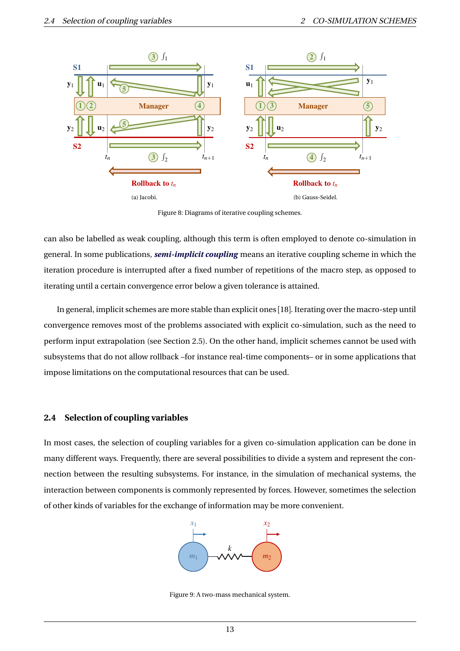

Figure 8: Diagrams of iterative coupling schemes.

can also be labelled as weak coupling, although this term is often employed to denote co-simulation in general. In some publications, *semi-implicit coupling* means an iterative coupling scheme in which the iteration procedure is interrupted after a fixed number of repetitions of the macro step, as opposed to iterating until a certain convergence error below a given tolerance is attained.

In general, implicit schemes are more stable than explicit ones [18]. Iterating over the macro-step until convergence removes most of the problems associated with explicit co-simulation, such as the need to perform input extrapolation (see Section 2.5). On the other hand, implicit schemes cannot be used with subsystems that do not allow rollback –for instance real-time components– or in some applications that impose limitations on the computational resources that can be used.

### **2.4 Selection of coupling variables**

In most cases, the selection of coupling variables for a given co-simulation application can be done in many different ways. Frequently, there are several possibilities to divide a system and represent the connection between the resulting subsystems. For instance, in the simulation of mechanical systems, the interaction between components is commonly represented by forces. However, sometimes the selection of other kinds of variables for the exchange of information may be more convenient.



Figure 9: A two-mass mechanical system.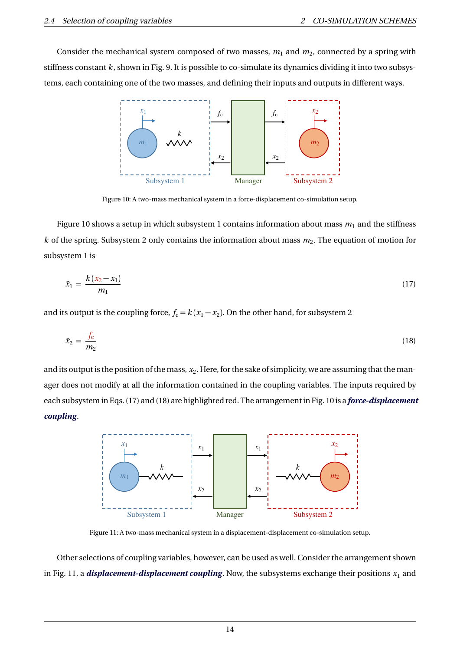Consider the mechanical system composed of two masses,  $m_1$  and  $m_2$ , connected by a spring with stiffness constant *k*, shown in Fig. 9. It is possible to co-simulate its dynamics dividing it into two subsystems, each containing one of the two masses, and defining their inputs and outputs in different ways.



Figure 10: A two-mass mechanical system in a force-displacement co-simulation setup.

Figure 10 shows a setup in which subsystem 1 contains information about mass  $m_1$  and the stiffness  $k$  of the spring. Subsystem 2 only contains the information about mass  $m_2$ . The equation of motion for subsystem 1 is

$$
\ddot{x}_1 = \frac{k(x_2 - x_1)}{m_1} \tag{17}
$$

and its output is the coupling force,  $f_c = k(x_1 - x_2)$ . On the other hand, for subsystem 2

$$
\ddot{x}_2 = \frac{f_c}{m_2} \tag{18}
$$

and its output is the position of the mass,  $x_2$ . Here, for the sake of simplicity, we are assuming that the manager does not modify at all the information contained in the coupling variables. The inputs required by each subsystem in Eqs. (17) and (18) are highlighted red. The arrangement in Fig. 10 is a *force-displacement coupling*.



Figure 11: A two-mass mechanical system in a displacement-displacement co-simulation setup.

Other selections of coupling variables, however, can be used as well. Consider the arrangement shown in Fig. 11, a *displacement-displacement coupling*. Now, the subsystems exchange their positions  $x_1$  and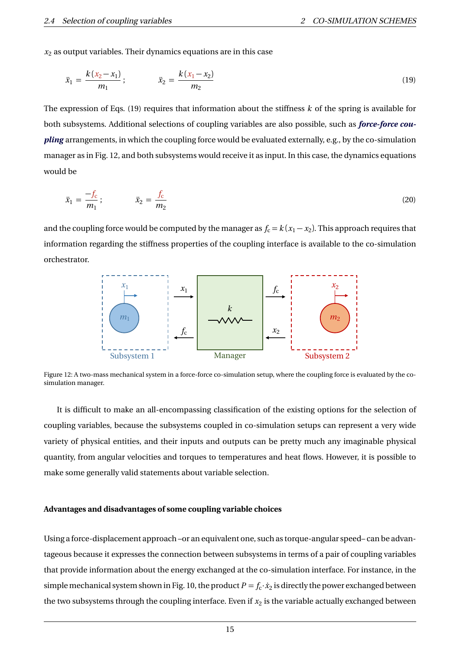$x<sub>2</sub>$  as output variables. Their dynamics equations are in this case

$$
\ddot{x}_1 = \frac{k(x_2 - x_1)}{m_1}; \qquad \ddot{x}_2 = \frac{k(x_1 - x_2)}{m_2}
$$
\n(19)

The expression of Eqs. (19) requires that information about the stiffness *k* of the spring is available for both subsystems. Additional selections of coupling variables are also possible, such as *force-force coupling* arrangements, in which the coupling force would be evaluated externally, e.g., by the co-simulation manager as in Fig. 12, and both subsystems would receive it as input. In this case, the dynamics equations would be

$$
\ddot{x}_1 = \frac{-f_c}{m_1}; \qquad \ddot{x}_2 = \frac{f_c}{m_2} \tag{20}
$$

and the coupling force would be computed by the manager as  $f_c = k(x_1 - x_2)$ . This approach requires that information regarding the stiffness properties of the coupling interface is available to the co-simulation orchestrator.



Figure 12: A two-mass mechanical system in a force-force co-simulation setup, where the coupling force is evaluated by the cosimulation manager.

It is difficult to make an all-encompassing classification of the existing options for the selection of coupling variables, because the subsystems coupled in co-simulation setups can represent a very wide variety of physical entities, and their inputs and outputs can be pretty much any imaginable physical quantity, from angular velocities and torques to temperatures and heat flows. However, it is possible to make some generally valid statements about variable selection.

#### **Advantages and disadvantages of some coupling variable choices**

Using a force-displacement approach –or an equivalent one, such as torque-angular speed– can be advantageous because it expresses the connection between subsystems in terms of a pair of coupling variables that provide information about the energy exchanged at the co-simulation interface. For instance, in the simple mechanical system shown in Fig. 10, the product  $P = f_c \cdot \dot{x}_2$  is directly the power exchanged between the two subsystems through the coupling interface. Even if  $x_2$  is the variable actually exchanged between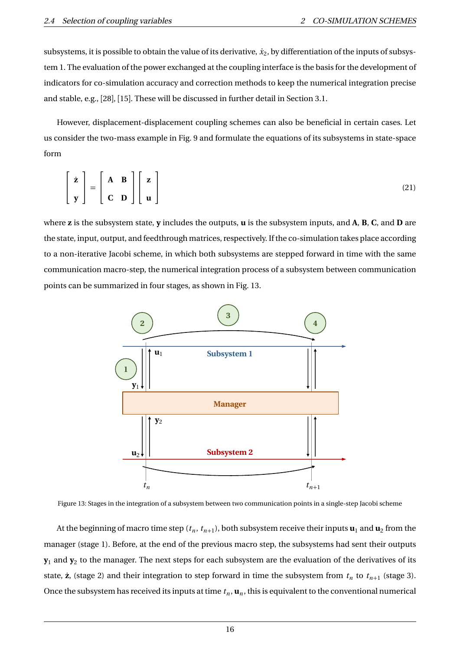subsystems, it is possible to obtain the value of its derivative,  $\dot{x}_2$ , by differentiation of the inputs of subsystem 1. The evaluation of the power exchanged at the coupling interface is the basis for the development of indicators for co-simulation accuracy and correction methods to keep the numerical integration precise and stable, e.g., [28], [15]. These will be discussed in further detail in Section 3.1.

However, displacement-displacement coupling schemes can also be beneficial in certain cases. Let us consider the two-mass example in Fig. 9 and formulate the equations of its subsystems in state-space form

$$
\begin{bmatrix} \dot{\mathbf{z}} \\ \mathbf{y} \end{bmatrix} = \begin{bmatrix} \mathbf{A} & \mathbf{B} \\ \mathbf{C} & \mathbf{D} \end{bmatrix} \begin{bmatrix} \mathbf{z} \\ \mathbf{u} \end{bmatrix}
$$
 (21)

where **z** is the subsystem state, **y** includes the outputs, **u** is the subsystem inputs, and **A**, **B**, **C**, and **D** are the state, input, output, and feedthrough matrices, respectively. If the co-simulation takes place according to a non-iterative Jacobi scheme, in which both subsystems are stepped forward in time with the same communication macro-step, the numerical integration process of a subsystem between communication points can be summarized in four stages, as shown in Fig. 13.



Figure 13: Stages in the integration of a subsystem between two communication points in a single-step Jacobi scheme

At the beginning of macro time step  $(t_n, t_{n+1})$ , both subsystem receive their inputs  $\mathbf{u}_1$  and  $\mathbf{u}_2$  from the manager (stage 1). Before, at the end of the previous macro step, the subsystems had sent their outputs  $\mathbf{y}_1$  and  $\mathbf{y}_2$  to the manager. The next steps for each subsystem are the evaluation of the derivatives of its state,  $\dot{\mathbf{z}}$ , (stage 2) and their integration to step forward in time the subsystem from  $t_n$  to  $t_{n+1}$  (stage 3). Once the subsystem has received its inputs at time  $t_n$ ,  $\mathbf{u}_n$ , this is equivalent to the conventional numerical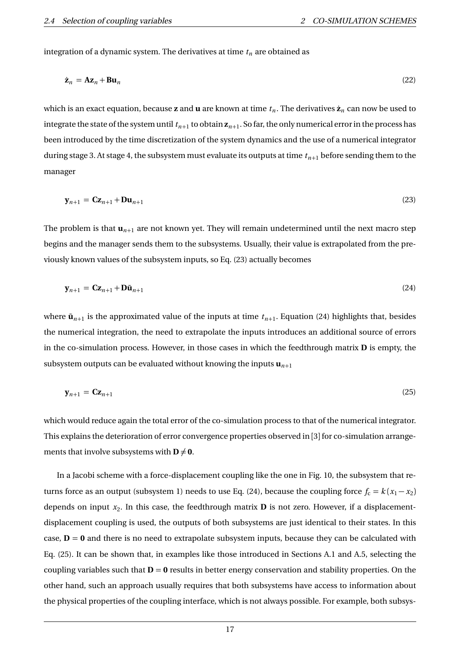integration of a dynamic system. The derivatives at time *t<sup>n</sup>* are obtained as

$$
\dot{\mathbf{z}}_n = \mathbf{A}\mathbf{z}_n + \mathbf{B}\mathbf{u}_n \tag{22}
$$

which is an exact equation, because **z** and **u** are known at time  $t_n$ . The derivatives  $\dot{z}_n$  can now be used to integrate the state of the system until  $t_{n+1}$  to obtain  ${\bf z}_{n+1}.$  So far, the only numerical error in the process has been introduced by the time discretization of the system dynamics and the use of a numerical integrator during stage 3. At stage 4, the subsystem must evaluate its outputs at time *tn*+<sup>1</sup> before sending them to the manager

$$
\mathbf{y}_{n+1} = \mathbf{C} \mathbf{z}_{n+1} + \mathbf{D} \mathbf{u}_{n+1} \tag{23}
$$

The problem is that  $\mathbf{u}_{n+1}$  are not known yet. They will remain undetermined until the next macro step begins and the manager sends them to the subsystems. Usually, their value is extrapolated from the previously known values of the subsystem inputs, so Eq. (23) actually becomes

$$
\mathbf{y}_{n+1} = \mathbf{C} \mathbf{z}_{n+1} + \mathbf{D} \tilde{\mathbf{u}}_{n+1} \tag{24}
$$

where  $\tilde{\mathbf{u}}_{n+1}$  is the approximated value of the inputs at time  $t_{n+1}$ . Equation (24) highlights that, besides the numerical integration, the need to extrapolate the inputs introduces an additional source of errors in the co-simulation process. However, in those cases in which the feedthrough matrix **D** is empty, the subsystem outputs can be evaluated without knowing the inputs  $\mathbf{u}_{n+1}$ 

$$
\mathbf{y}_{n+1} = \mathbf{C} \mathbf{z}_{n+1} \tag{25}
$$

which would reduce again the total error of the co-simulation process to that of the numerical integrator. This explains the deterioration of error convergence properties observed in [3] for co-simulation arrangements that involve subsystems with  $D \neq 0$ .

In a Jacobi scheme with a force-displacement coupling like the one in Fig. 10, the subsystem that returns force as an output (subsystem 1) needs to use Eq. (24), because the coupling force  $f_c = k(x_1 - x_2)$ depends on input  $x_2$ . In this case, the feedthrough matrix  $\bf{D}$  is not zero. However, if a displacementdisplacement coupling is used, the outputs of both subsystems are just identical to their states. In this case,  $D = 0$  and there is no need to extrapolate subsystem inputs, because they can be calculated with Eq. (25). It can be shown that, in examples like those introduced in Sections A.1 and A.5, selecting the coupling variables such that **D** = **0** results in better energy conservation and stability properties. On the other hand, such an approach usually requires that both subsystems have access to information about the physical properties of the coupling interface, which is not always possible. For example, both subsys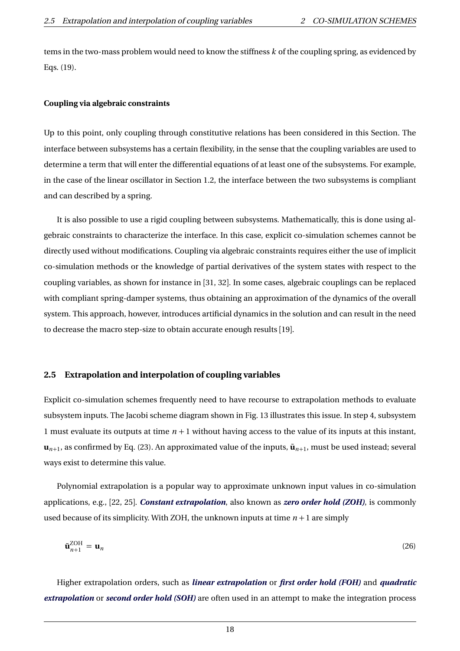tems in the two-mass problem would need to know the stiffness *k* of the coupling spring, as evidenced by Eqs. (19).

#### **Coupling via algebraic constraints**

Up to this point, only coupling through constitutive relations has been considered in this Section. The interface between subsystems has a certain flexibility, in the sense that the coupling variables are used to determine a term that will enter the differential equations of at least one of the subsystems. For example, in the case of the linear oscillator in Section 1.2, the interface between the two subsystems is compliant and can described by a spring.

It is also possible to use a rigid coupling between subsystems. Mathematically, this is done using algebraic constraints to characterize the interface. In this case, explicit co-simulation schemes cannot be directly used without modifications. Coupling via algebraic constraints requires either the use of implicit co-simulation methods or the knowledge of partial derivatives of the system states with respect to the coupling variables, as shown for instance in [31, 32]. In some cases, algebraic couplings can be replaced with compliant spring-damper systems, thus obtaining an approximation of the dynamics of the overall system. This approach, however, introduces artificial dynamics in the solution and can result in the need to decrease the macro step-size to obtain accurate enough results [19].

#### **2.5 Extrapolation and interpolation of coupling variables**

Explicit co-simulation schemes frequently need to have recourse to extrapolation methods to evaluate subsystem inputs. The Jacobi scheme diagram shown in Fig. 13 illustrates this issue. In step 4, subsystem 1 must evaluate its outputs at time *n* + 1 without having access to the value of its inputs at this instant,  $\mathbf{u}_{n+1}$ , as confirmed by Eq. (23). An approximated value of the inputs,  $\tilde{\mathbf{u}}_{n+1}$ , must be used instead; several ways exist to determine this value.

Polynomial extrapolation is a popular way to approximate unknown input values in co-simulation applications, e.g., [22, 25]. *Constant extrapolation*, also known as *zero order hold (ZOH)*, is commonly used because of its simplicity. With ZOH, the unknown inputs at time  $n + 1$  are simply

$$
\tilde{\mathbf{u}}_{n+1}^{\text{ZOH}} = \mathbf{u}_n \tag{26}
$$

Higher extrapolation orders, such as *linear extrapolation* or *first order hold (FOH)* and *quadratic extrapolation* or *second order hold (SOH)* are often used in an attempt to make the integration process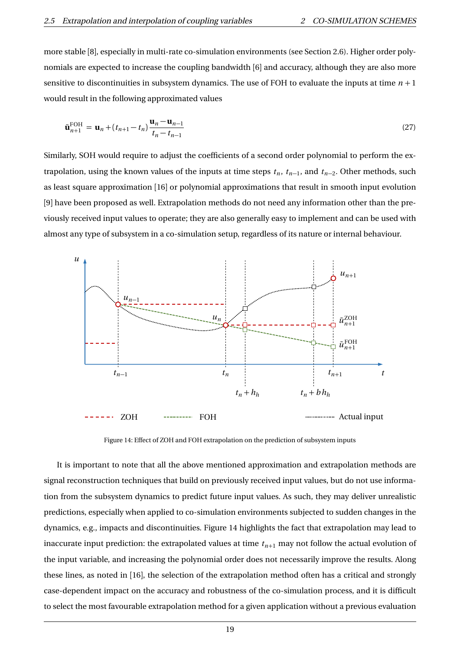more stable [8], especially in multi-rate co-simulation environments (see Section 2.6). Higher order polynomials are expected to increase the coupling bandwidth [6] and accuracy, although they are also more sensitive to discontinuities in subsystem dynamics. The use of FOH to evaluate the inputs at time  $n + 1$ would result in the following approximated values

$$
\tilde{\mathbf{u}}_{n+1}^{\text{FOH}} = \mathbf{u}_n + (t_{n+1} - t_n) \frac{\mathbf{u}_n - \mathbf{u}_{n-1}}{t_n - t_{n-1}}
$$
\n(27)

Similarly, SOH would require to adjust the coefficients of a second order polynomial to perform the extrapolation, using the known values of the inputs at time steps  $t_n$ ,  $t_{n-1}$ , and  $t_{n-2}$ . Other methods, such as least square approximation [16] or polynomial approximations that result in smooth input evolution [9] have been proposed as well. Extrapolation methods do not need any information other than the previously received input values to operate; they are also generally easy to implement and can be used with almost any type of subsystem in a co-simulation setup, regardless of its nature or internal behaviour.



Figure 14: Effect of ZOH and FOH extrapolation on the prediction of subsystem inputs

It is important to note that all the above mentioned approximation and extrapolation methods are signal reconstruction techniques that build on previously received input values, but do not use information from the subsystem dynamics to predict future input values. As such, they may deliver unrealistic predictions, especially when applied to co-simulation environments subjected to sudden changes in the dynamics, e.g., impacts and discontinuities. Figure 14 highlights the fact that extrapolation may lead to inaccurate input prediction: the extrapolated values at time  $t_{n+1}$  may not follow the actual evolution of the input variable, and increasing the polynomial order does not necessarily improve the results. Along these lines, as noted in [16], the selection of the extrapolation method often has a critical and strongly case-dependent impact on the accuracy and robustness of the co-simulation process, and it is difficult to select the most favourable extrapolation method for a given application without a previous evaluation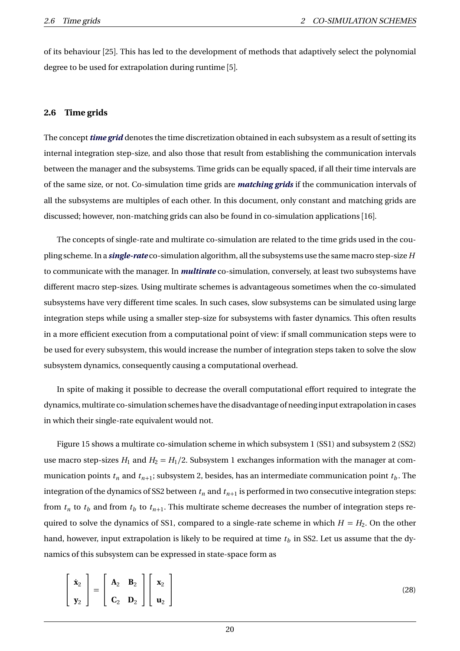of its behaviour [25]. This has led to the development of methods that adaptively select the polynomial degree to be used for extrapolation during runtime [5].

### **2.6 Time grids**

The concept *time grid* denotes the time discretization obtained in each subsystem as a result of setting its internal integration step-size, and also those that result from establishing the communication intervals between the manager and the subsystems. Time grids can be equally spaced, if all their time intervals are of the same size, or not. Co-simulation time grids are *matching grids* if the communication intervals of all the subsystems are multiples of each other. In this document, only constant and matching grids are discussed; however, non-matching grids can also be found in co-simulation applications [16].

The concepts of single-rate and multirate co-simulation are related to the time grids used in the coupling scheme. In a *single-rate* co-simulation algorithm, all the subsystems use the same macro step-size *H* to communicate with the manager. In *multirate* co-simulation, conversely, at least two subsystems have different macro step-sizes. Using multirate schemes is advantageous sometimes when the co-simulated subsystems have very different time scales. In such cases, slow subsystems can be simulated using large integration steps while using a smaller step-size for subsystems with faster dynamics. This often results in a more efficient execution from a computational point of view: if small communication steps were to be used for every subsystem, this would increase the number of integration steps taken to solve the slow subsystem dynamics, consequently causing a computational overhead.

In spite of making it possible to decrease the overall computational effort required to integrate the dynamics, multirate co-simulation schemes have the disadvantage of needing input extrapolation in cases in which their single-rate equivalent would not.

Figure 15 shows a multirate co-simulation scheme in which subsystem 1 (SS1) and subsystem 2 (SS2) use macro step-sizes  $H_1$  and  $H_2 = H_1/2$ . Subsystem 1 exchanges information with the manager at communication points  $t_n$  and  $t_{n+1}$ ; subsystem 2, besides, has an intermediate communication point  $t_b$ . The integration of the dynamics of SS2 between  $t_n$  and  $t_{n+1}$  is performed in two consecutive integration steps: from  $t_n$  to  $t_b$  and from  $t_b$  to  $t_{n+1}$ . This multirate scheme decreases the number of integration steps required to solve the dynamics of SS1, compared to a single-rate scheme in which  $H = H_2$ . On the other hand, however, input extrapolation is likely to be required at time  $t<sub>b</sub>$  in SS2. Let us assume that the dynamics of this subsystem can be expressed in state-space form as

$$
\begin{bmatrix} \dot{\mathbf{x}}_2 \\ \mathbf{y}_2 \end{bmatrix} = \begin{bmatrix} \mathbf{A}_2 & \mathbf{B}_2 \\ \mathbf{C}_2 & \mathbf{D}_2 \end{bmatrix} \begin{bmatrix} \mathbf{x}_2 \\ \mathbf{u}_2 \end{bmatrix}
$$
 (28)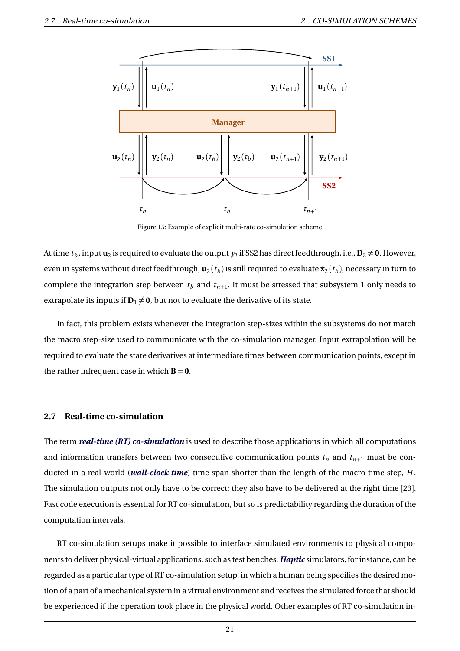

Figure 15: Example of explicit multi-rate co-simulation scheme

At time  $t_b$ , input  $\mathbf{u}_2$  is required to evaluate the output  $y_2$  if SS2 has direct feedthrough, i.e.,  $\mathbf{D}_2 \neq \mathbf{0}$ . However, even in systems without direct feedthrough,  $\mathbf{u}_2(t_b)$  is still required to evaluate  $\dot{\mathbf{x}}_2(t_b)$ , necessary in turn to complete the integration step between  $t_b$  and  $t_{n+1}$ . It must be stressed that subsystem 1 only needs to extrapolate its inputs if  $D_1 \neq 0$ , but not to evaluate the derivative of its state.

In fact, this problem exists whenever the integration step-sizes within the subsystems do not match the macro step-size used to communicate with the co-simulation manager. Input extrapolation will be required to evaluate the state derivatives at intermediate times between communication points, except in the rather infrequent case in which  $B = 0$ .

#### **2.7 Real-time co-simulation**

The term *real-time (RT) co-simulation* is used to describe those applications in which all computations and information transfers between two consecutive communication points  $t_n$  and  $t_{n+1}$  must be conducted in a real-world (*wall-clock time*) time span shorter than the length of the macro time step, *H* . The simulation outputs not only have to be correct: they also have to be delivered at the right time [23]. Fast code execution is essential for RT co-simulation, but so is predictability regarding the duration of the computation intervals.

RT co-simulation setups make it possible to interface simulated environments to physical components to deliver physical-virtual applications, such as test benches. *Haptic* simulators, for instance, can be regarded as a particular type of RT co-simulation setup, in which a human being specifies the desired motion of a part of a mechanical system in a virtual environment and receives the simulated force that should be experienced if the operation took place in the physical world. Other examples of RT co-simulation in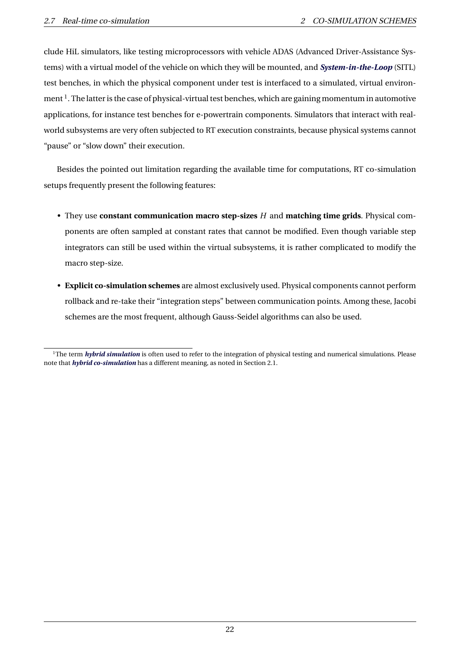clude HiL simulators, like testing microprocessors with vehicle ADAS (Advanced Driver-Assistance Systems) with a virtual model of the vehicle on which they will be mounted, and *System-in-the-Loop* (SITL) test benches, in which the physical component under test is interfaced to a simulated, virtual environment  $^{\rm l}$  . The latter is the case of physical-virtual test benches, which are gaining momentum in automotive applications, for instance test benches for e-powertrain components. Simulators that interact with realworld subsystems are very often subjected to RT execution constraints, because physical systems cannot "pause" or "slow down" their execution.

Besides the pointed out limitation regarding the available time for computations, RT co-simulation setups frequently present the following features:

- They use **constant communication macro step-sizes** *H* and **matching time grids**. Physical components are often sampled at constant rates that cannot be modified. Even though variable step integrators can still be used within the virtual subsystems, it is rather complicated to modify the macro step-size.
- **Explicit co-simulation schemes** are almost exclusively used. Physical components cannot perform rollback and re-take their "integration steps" between communication points. Among these, Jacobi schemes are the most frequent, although Gauss-Seidel algorithms can also be used.

<sup>&</sup>lt;sup>1</sup>The term *hybrid simulation* is often used to refer to the integration of physical testing and numerical simulations. Please note that *hybrid co-simulation* has a different meaning, as noted in Section 2.1.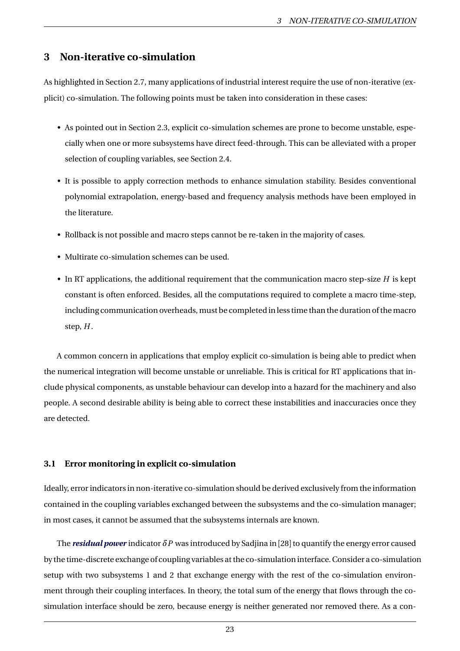# **3 Non-iterative co-simulation**

As highlighted in Section 2.7, many applications of industrial interest require the use of non-iterative (explicit) co-simulation. The following points must be taken into consideration in these cases:

- As pointed out in Section 2.3, explicit co-simulation schemes are prone to become unstable, especially when one or more subsystems have direct feed-through. This can be alleviated with a proper selection of coupling variables, see Section 2.4.
- It is possible to apply correction methods to enhance simulation stability. Besides conventional polynomial extrapolation, energy-based and frequency analysis methods have been employed in the literature.
- Rollback is not possible and macro steps cannot be re-taken in the majority of cases.
- Multirate co-simulation schemes can be used.
- In RT applications, the additional requirement that the communication macro step-size *H* is kept constant is often enforced. Besides, all the computations required to complete a macro time-step, including communication overheads, must be completed in less time than the duration of the macro step, *H* .

A common concern in applications that employ explicit co-simulation is being able to predict when the numerical integration will become unstable or unreliable. This is critical for RT applications that include physical components, as unstable behaviour can develop into a hazard for the machinery and also people. A second desirable ability is being able to correct these instabilities and inaccuracies once they are detected.

### **3.1 Error monitoring in explicit co-simulation**

Ideally, error indicators in non-iterative co-simulation should be derived exclusively from the information contained in the coupling variables exchanged between the subsystems and the co-simulation manager; in most cases, it cannot be assumed that the subsystems internals are known.

The *residual power* indicator *δP* was introduced by Sadjina in [28] to quantify the energy error caused by the time-discrete exchange of coupling variables at the co-simulation interface. Consider a co-simulation setup with two subsystems 1 and 2 that exchange energy with the rest of the co-simulation environment through their coupling interfaces. In theory, the total sum of the energy that flows through the cosimulation interface should be zero, because energy is neither generated nor removed there. As a con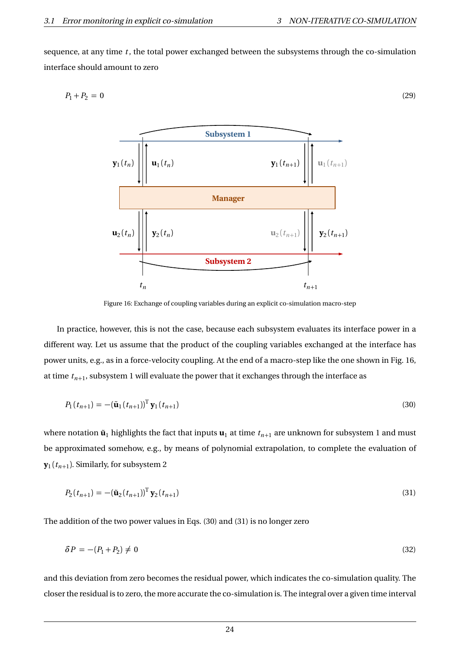sequence, at any time *t* , the total power exchanged between the subsystems through the co-simulation interface should amount to zero

$$
P_1 + P_2 = 0 \tag{29}
$$



Figure 16: Exchange of coupling variables during an explicit co-simulation macro-step

In practice, however, this is not the case, because each subsystem evaluates its interface power in a different way. Let us assume that the product of the coupling variables exchanged at the interface has power units, e.g., as in a force-velocity coupling. At the end of a macro-step like the one shown in Fig. 16, at time  $t_{n+1}$ , subsystem 1 will evaluate the power that it exchanges through the interface as

$$
P_1(t_{n+1}) = -(\tilde{\mathbf{u}}_1(t_{n+1}))^{\mathrm{T}} \mathbf{y}_1(t_{n+1})
$$
\n(30)

where notation  $\tilde{\mathbf{u}}_1$  highlights the fact that inputs  $\mathbf{u}_1$  at time  $t_{n+1}$  are unknown for subsystem 1 and must be approximated somehow, e.g., by means of polynomial extrapolation, to complete the evaluation of  $\mathbf{y}_1(t_{n+1})$ . Similarly, for subsystem 2

$$
P_2(t_{n+1}) = -(\tilde{\mathbf{u}}_2(t_{n+1}))^{\mathrm{T}} \mathbf{y}_2(t_{n+1})
$$
\n(31)

The addition of the two power values in Eqs. (30) and (31) is no longer zero

$$
\delta P = -(P_1 + P_2) \neq 0 \tag{32}
$$

and this deviation from zero becomes the residual power, which indicates the co-simulation quality. The closer the residual is to zero, the more accurate the co-simulation is. The integral over a given time interval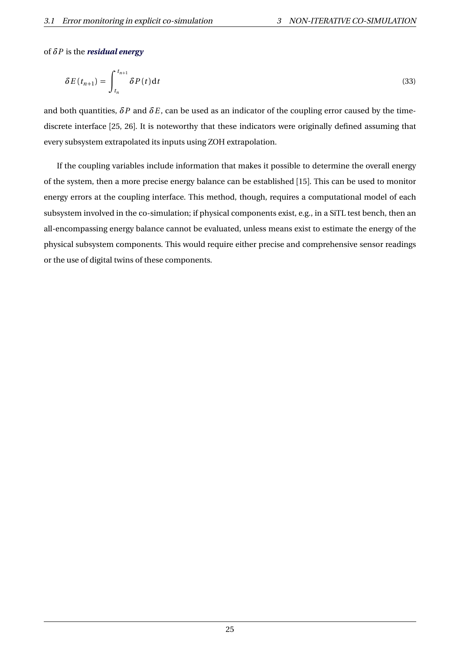### of *δP* is the *residual energy*

$$
\delta E(t_{n+1}) = \int_{t_n}^{t_{n+1}} \delta P(t) \mathrm{d}t \tag{33}
$$

and both quantities,  $\delta P$  and  $\delta E$ , can be used as an indicator of the coupling error caused by the timediscrete interface [25, 26]. It is noteworthy that these indicators were originally defined assuming that every subsystem extrapolated its inputs using ZOH extrapolation.

If the coupling variables include information that makes it possible to determine the overall energy of the system, then a more precise energy balance can be established [15]. This can be used to monitor energy errors at the coupling interface. This method, though, requires a computational model of each subsystem involved in the co-simulation; if physical components exist, e.g., in a SiTL test bench, then an all-encompassing energy balance cannot be evaluated, unless means exist to estimate the energy of the physical subsystem components. This would require either precise and comprehensive sensor readings or the use of digital twins of these components.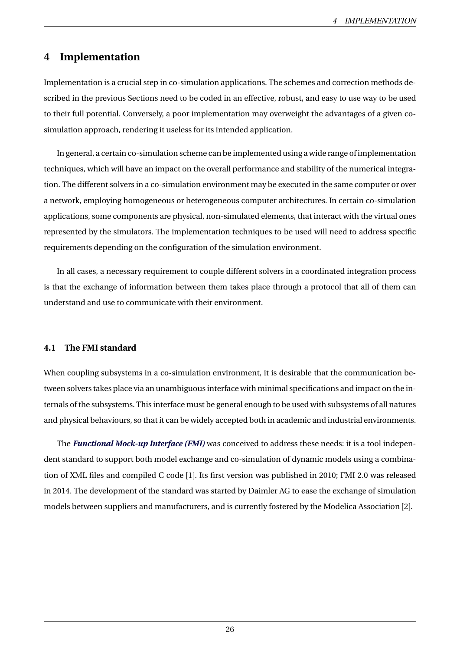# **4 Implementation**

Implementation is a crucial step in co-simulation applications. The schemes and correction methods described in the previous Sections need to be coded in an effective, robust, and easy to use way to be used to their full potential. Conversely, a poor implementation may overweight the advantages of a given cosimulation approach, rendering it useless for its intended application.

In general, a certain co-simulation scheme can be implemented using a wide range of implementation techniques, which will have an impact on the overall performance and stability of the numerical integration. The different solvers in a co-simulation environment may be executed in the same computer or over a network, employing homogeneous or heterogeneous computer architectures. In certain co-simulation applications, some components are physical, non-simulated elements, that interact with the virtual ones represented by the simulators. The implementation techniques to be used will need to address specific requirements depending on the configuration of the simulation environment.

In all cases, a necessary requirement to couple different solvers in a coordinated integration process is that the exchange of information between them takes place through a protocol that all of them can understand and use to communicate with their environment.

### **4.1 The FMI standard**

When coupling subsystems in a co-simulation environment, it is desirable that the communication between solvers takes place via an unambiguous interface with minimal specifications and impact on the internals of the subsystems. This interface must be general enough to be used with subsystems of all natures and physical behaviours, so that it can be widely accepted both in academic and industrial environments.

The *Functional Mock-up Interface (FMI)* was conceived to address these needs: it is a tool independent standard to support both model exchange and co-simulation of dynamic models using a combination of XML files and compiled C code [1]. Its first version was published in 2010; FMI 2.0 was released in 2014. The development of the standard was started by Daimler AG to ease the exchange of simulation models between suppliers and manufacturers, and is currently fostered by the Modelica Association [2].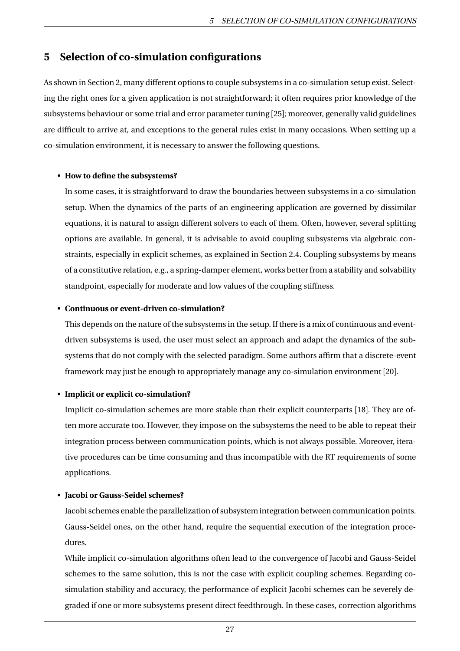# **5 Selection of co-simulation configurations**

As shown in Section 2, many different options to couple subsystems in a co-simulation setup exist. Selecting the right ones for a given application is not straightforward; it often requires prior knowledge of the subsystems behaviour or some trial and error parameter tuning [25]; moreover, generally valid guidelines are difficult to arrive at, and exceptions to the general rules exist in many occasions. When setting up a co-simulation environment, it is necessary to answer the following questions.

### • **How to define the subsystems?**

In some cases, it is straightforward to draw the boundaries between subsystems in a co-simulation setup. When the dynamics of the parts of an engineering application are governed by dissimilar equations, it is natural to assign different solvers to each of them. Often, however, several splitting options are available. In general, it is advisable to avoid coupling subsystems via algebraic constraints, especially in explicit schemes, as explained in Section 2.4. Coupling subsystems by means of a constitutive relation, e.g., a spring-damper element, works better from a stability and solvability standpoint, especially for moderate and low values of the coupling stiffness.

### • **Continuous or event-driven co-simulation?**

This depends on the nature of the subsystems in the setup. If there is a mix of continuous and eventdriven subsystems is used, the user must select an approach and adapt the dynamics of the subsystems that do not comply with the selected paradigm. Some authors affirm that a discrete-event framework may just be enough to appropriately manage any co-simulation environment [20].

### • **Implicit or explicit co-simulation?**

Implicit co-simulation schemes are more stable than their explicit counterparts [18]. They are often more accurate too. However, they impose on the subsystems the need to be able to repeat their integration process between communication points, which is not always possible. Moreover, iterative procedures can be time consuming and thus incompatible with the RT requirements of some applications.

### • **Jacobi or Gauss-Seidel schemes?**

Jacobi schemes enable the parallelization of subsystem integration between communication points. Gauss-Seidel ones, on the other hand, require the sequential execution of the integration procedures.

While implicit co-simulation algorithms often lead to the convergence of Jacobi and Gauss-Seidel schemes to the same solution, this is not the case with explicit coupling schemes. Regarding cosimulation stability and accuracy, the performance of explicit Jacobi schemes can be severely degraded if one or more subsystems present direct feedthrough. In these cases, correction algorithms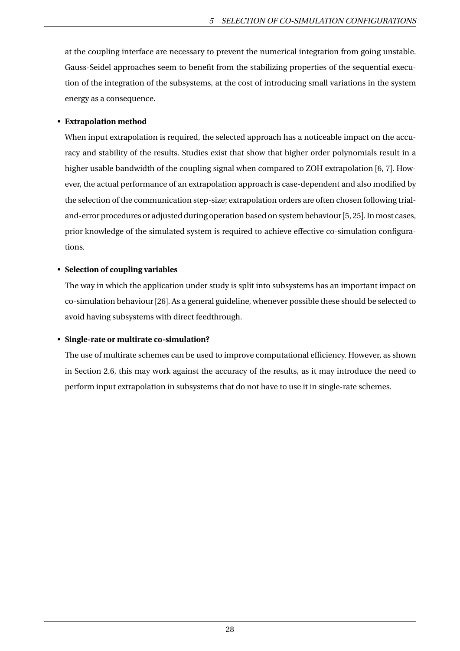at the coupling interface are necessary to prevent the numerical integration from going unstable. Gauss-Seidel approaches seem to benefit from the stabilizing properties of the sequential execution of the integration of the subsystems, at the cost of introducing small variations in the system energy as a consequence.

## • **Extrapolation method**

When input extrapolation is required, the selected approach has a noticeable impact on the accuracy and stability of the results. Studies exist that show that higher order polynomials result in a higher usable bandwidth of the coupling signal when compared to ZOH extrapolation [6, 7]. However, the actual performance of an extrapolation approach is case-dependent and also modified by the selection of the communication step-size; extrapolation orders are often chosen following trialand-error procedures or adjusted during operation based on system behaviour [5, 25]. In most cases, prior knowledge of the simulated system is required to achieve effective co-simulation configurations.

# • **Selection of coupling variables**

The way in which the application under study is split into subsystems has an important impact on co-simulation behaviour [26]. As a general guideline, whenever possible these should be selected to avoid having subsystems with direct feedthrough.

# • **Single-rate or multirate co-simulation?**

The use of multirate schemes can be used to improve computational efficiency. However, as shown in Section 2.6, this may work against the accuracy of the results, as it may introduce the need to perform input extrapolation in subsystems that do not have to use it in single-rate schemes.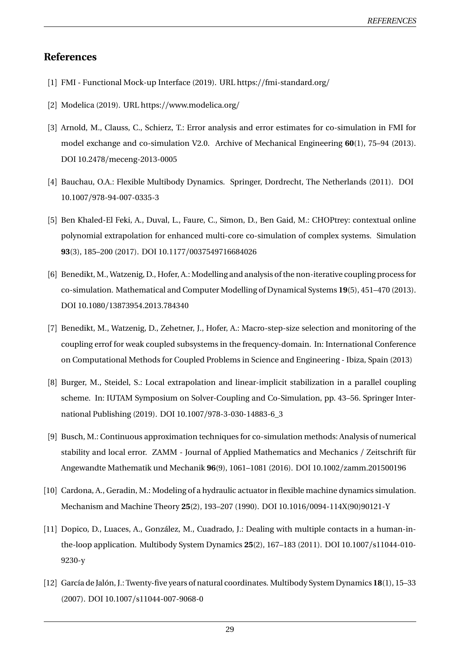# **References**

- [1] FMI Functional Mock-up Interface (2019). URL https://fmi-standard.org/
- [2] Modelica (2019). URL https://www.modelica.org/
- [3] Arnold, M., Clauss, C., Schierz, T.: Error analysis and error estimates for co-simulation in FMI for model exchange and co-simulation V2.0. Archive of Mechanical Engineering **60**(1), 75–94 (2013). DOI 10.2478/meceng-2013-0005
- [4] Bauchau, O.A.: Flexible Multibody Dynamics. Springer, Dordrecht, The Netherlands (2011). DOI 10.1007/978-94-007-0335-3
- [5] Ben Khaled-El Feki, A., Duval, L., Faure, C., Simon, D., Ben Gaid, M.: CHOPtrey: contextual online polynomial extrapolation for enhanced multi-core co-simulation of complex systems. Simulation **93**(3), 185–200 (2017). DOI 10.1177/0037549716684026
- [6] Benedikt, M., Watzenig, D., Hofer, A.: Modelling and analysis of the non-iterative coupling process for co-simulation. Mathematical and Computer Modelling of Dynamical Systems **19**(5), 451–470 (2013). DOI 10.1080/13873954.2013.784340
- [7] Benedikt, M., Watzenig, D., Zehetner, J., Hofer, A.: Macro-step-size selection and monitoring of the coupling errof for weak coupled subsystems in the frequency-domain. In: International Conference on Computational Methods for Coupled Problems in Science and Engineering - Ibiza, Spain (2013)
- [8] Burger, M., Steidel, S.: Local extrapolation and linear-implicit stabilization in a parallel coupling scheme. In: IUTAM Symposium on Solver-Coupling and Co-Simulation, pp. 43–56. Springer International Publishing (2019). DOI 10.1007/978-3-030-14883-6\_3
- [9] Busch, M.: Continuous approximation techniques for co-simulation methods: Analysis of numerical stability and local error. ZAMM - Journal of Applied Mathematics and Mechanics / Zeitschrift für Angewandte Mathematik und Mechanik **96**(9), 1061–1081 (2016). DOI 10.1002/zamm.201500196
- [10] Cardona, A., Geradin, M.: Modeling of a hydraulic actuator in flexible machine dynamics simulation. Mechanism and Machine Theory **25**(2), 193–207 (1990). DOI 10.1016/0094-114X(90)90121-Y
- [11] Dopico, D., Luaces, A., González, M., Cuadrado, J.: Dealing with multiple contacts in a human-inthe-loop application. Multibody System Dynamics **25**(2), 167–183 (2011). DOI 10.1007/s11044-010- 9230-y
- [12] García de Jalón, J.: Twenty-five years of natural coordinates. Multibody System Dynamics **18**(1), 15–33 (2007). DOI 10.1007/s11044-007-9068-0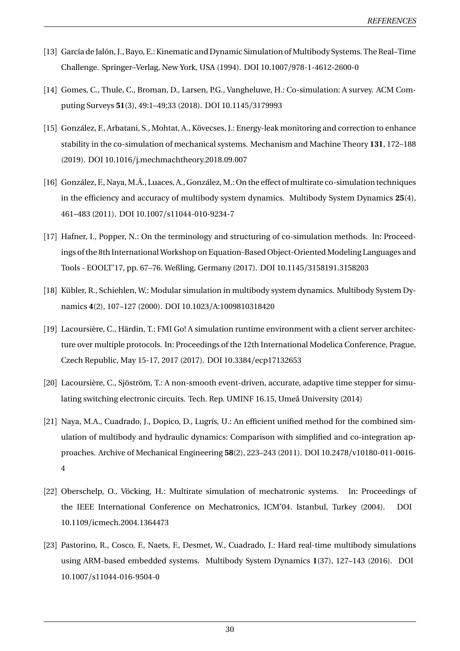- [13] García de Jalón, J., Bayo, E.: Kinematic and Dynamic Simulation of Multibody Systems. The Real–Time Challenge. Springer–Verlag, New York, USA (1994). DOI 10.1007/978-1-4612-2600-0
- [14] Gomes, C., Thule, C., Broman, D., Larsen, P.G., Vangheluwe, H.: Co-simulation: A survey. ACM Computing Surveys **51**(3), 49:1–49:33 (2018). DOI 10.1145/3179993
- [15] González, F., Arbatani, S., Mohtat, A., Kövecses, J.: Energy-leak monitoring and correction to enhance stability in the co-simulation of mechanical systems. Mechanism and Machine Theory **131**, 172–188 (2019). DOI 10.1016/j.mechmachtheory.2018.09.007
- [16] González, F., Naya, M.Á., Luaces, A., González, M.: On the effect of multirate co-simulation techniques in the efficiency and accuracy of multibody system dynamics. Multibody System Dynamics **25**(4), 461–483 (2011). DOI 10.1007/s11044-010-9234-7
- [17] Hafner, I., Popper, N.: On the terminology and structuring of co-simulation methods. In: Proceedings of the 8th International Workshop on Equation-Based Object-Oriented Modeling Languages and Tools - EOOLT'17, pp. 67–76. Weßling, Germany (2017). DOI 10.1145/3158191.3158203
- [18] Kübler, R., Schiehlen, W.: Modular simulation in multibody system dynamics. Multibody System Dynamics **4**(2), 107–127 (2000). DOI 10.1023/A:1009810318420
- [19] Lacoursière, C., Härdin, T.: FMI Go! A simulation runtime environment with a client server architecture over multiple protocols. In: Proceedings of the 12th International Modelica Conference, Prague, Czech Republic, May 15-17, 2017 (2017). DOI 10.3384/ecp17132653
- [20] Lacoursière, C., Sjöström, T.: A non-smooth event-driven, accurate, adaptive time stepper for simulating switching electronic circuits. Tech. Rep. UMINF 16.15, Umeå University (2014)
- [21] Naya, M.A., Cuadrado, J., Dopico, D., Lugrís, U.: An efficient unified method for the combined simulation of multibody and hydraulic dynamics: Comparison with simplified and co-integration approaches. Archive of Mechanical Engineering **58**(2), 223–243 (2011). DOI 10.2478/v10180-011-0016- 4
- [22] Oberschelp, O., Vöcking, H.: Multirate simulation of mechatronic systems. In: Proceedings of the IEEE International Conference on Mechatronics, ICM'04. Istanbul, Turkey (2004). DOI 10.1109/icmech.2004.1364473
- [23] Pastorino, R., Cosco, F., Naets, F., Desmet, W., Cuadrado, J.: Hard real-time multibody simulations using ARM-based embedded systems. Multibody System Dynamics **1**(37), 127–143 (2016). DOI 10.1007/s11044-016-9504-0